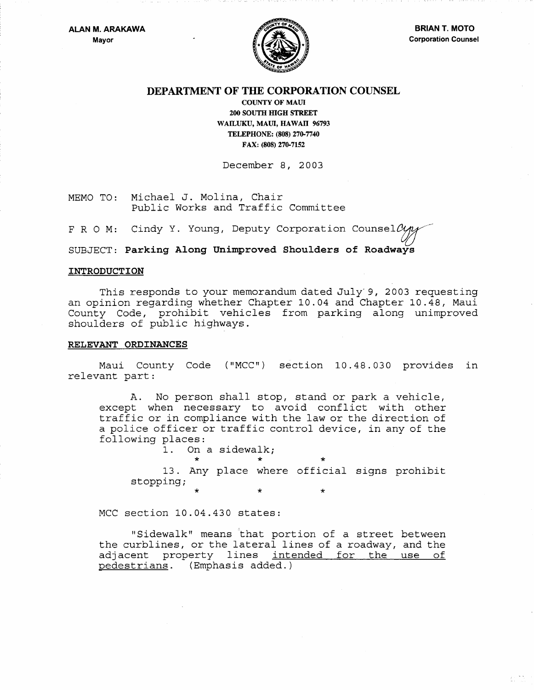

## DEPARTMENT OF THE CORPORATION COUNSEL

COUNTY OF MAUl 200 SOUTH HIGH STREET WAILUKU, MAUl, HAWAll 96793 TELEPHONE: (808) 270-7740 FAX: (808) 270-7152

December 8, 2003

MEMO TO: Michael J. Molina, Chair Public Works and Traffic Committee

F R O M: Cindy Y. Young, Deputy Corporation Counsel  $\mathcal{O}_{\mathcal{M}}$ 

SUBJECT: Parking Along Unimproved Shoulders of Roadways

## INTRODUCTION

This responds to your memorandum dated July-9, 2003 requesting an opinion regarding whether Chapter 10.04 and Chapter 10.48, Maui County Code, prohibit vehicles from parking along unimproved shoulders of public highways.

## RELEVANT ORDINANCES

Maui County Code ("MCC") section 10.48.030 provides in relevant part:

A. No person shall stop, stand or park a vehicle, except when necessary to avoid conflict with other traffic or in compliance with the law or the direction of a police officer or traffic control device, in any of the following places:

On a sidewalk;

\* \* \*

\* \* \* 13. Any place where official signs prohibit stopping;

MCC section 10.04.430 states:

"Sidewalk" means 'that portion of a street between the curblines, or the lateral lines of a roadway, and the adjacent property lines intended for the use of pedestrians. (Emphasis added.)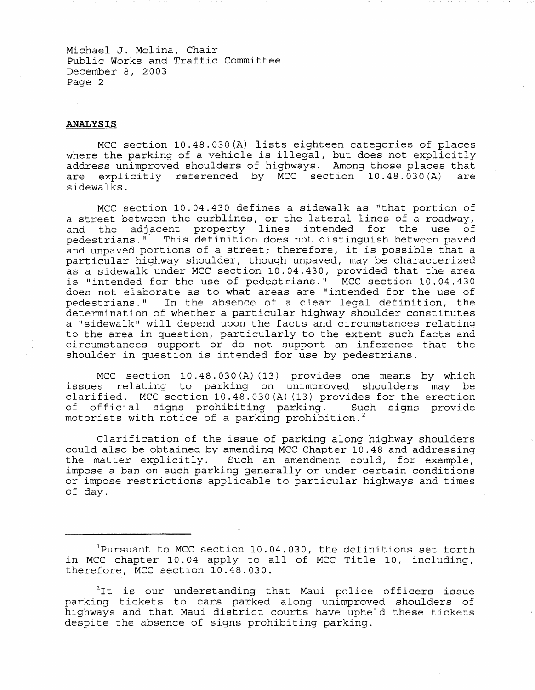Michael J. Molina, Chair Public Works and Traffic Committee December 8, 2003 Page 2

## **ANALYSIS**

MCC section 10.48.030(A) lists eighteen categories of places where the parking of a vehicle is illegal, but does not explicitly address unimproved shoulders of highways. Among those places that<br>are explicitly referenced by MCC section 10.48.030(A) are are explicitly referenced by MCC section  $10.48.030(A)$ sidewalks.

MCC section 10.04.430 defines a sidewalk as "that portion of a street between the curblines, or the lateral lines of a roadway, and the adjacent property lines intended for the use of pedestrians. $\overline{N}$ <sup>1</sup> This definition does not distinguish between paved and unpaved portions of a street; therefore, it is possible that a particular highway shoulder, though unpaved, may be characterized as a sidewalk under MCC section 10.04.430, provided that the area is "intended for the use of pedestrians." MCC section 10.04.430 does not elaborate as to what areas are "intended for the use of pedestrians. " In the absence of a clear legal definition, the determination of whether a particular highway shoulder constitutes a "sidewalk" will depend upon the facts and circumstances relating to the area in question, particularly to the extent such facts and circumstances support or do not support an inference that the shoulder in question is intended for use by pedestrians.

MCC section 10.48.030(A)(13) provides one means by which issues relating to parking on unimproved shoulders may be clarified. MCC section 10.48.030(A)(13) provides for the erection<br>of official signs prohibiting parking. Such signs provide of official signs prohibiting parking. motorists with notice of a parking prohibition.<sup>2</sup>

Clarification of the issue of parking along highway shoulders could also be obtained by amending MCC Chapter 10.48 and addressing the matter explicitly. Such an amendment could, for example, impose a ban on such parking generally or under certain conditions or impose restrictions applicable to particular highways and times of day.

 $1$ Pursuant to MCC section 10.04.030, the definitions set forth in MCC chapter 10.04 apply to all of MCC Title 10, including, therefore, MCC section 10.48.030.

 $t^2$ It is our understanding that Maui police officers issue parking tickets to cars parked along unimproved shoulders of highways and that Maui district courts have upheld these tickets despite the absence of signs prohibiting parking.